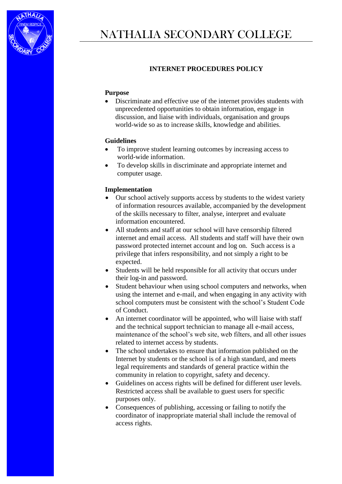

## **INTERNET PROCEDURES POLICY**

## **Purpose**

 Discriminate and effective use of the internet provides students with unprecedented opportunities to obtain information, engage in discussion, and liaise with individuals, organisation and groups world-wide so as to increase skills, knowledge and abilities.

## **Guidelines**

- To improve student learning outcomes by increasing access to world-wide information.
- To develop skills in discriminate and appropriate internet and computer usage.

## **Implementation**

- Our school actively supports access by students to the widest variety of information resources available, accompanied by the development of the skills necessary to filter, analyse, interpret and evaluate information encountered.
- All students and staff at our school will have censorship filtered internet and email access. All students and staff will have their own password protected internet account and log on. Such access is a privilege that infers responsibility, and not simply a right to be expected.
- Students will be held responsible for all activity that occurs under their log-in and password.
- Student behaviour when using school computers and networks, when using the internet and e-mail, and when engaging in any activity with school computers must be consistent with the school's Student Code of Conduct.
- An internet coordinator will be appointed, who will liaise with staff and the technical support technician to manage all e-mail access, maintenance of the school's web site, web filters, and all other issues related to internet access by students.
- The school undertakes to ensure that information published on the Internet by students or the school is of a high standard, and meets legal requirements and standards of general practice within the community in relation to copyright, safety and decency.
- Guidelines on access rights will be defined for different user levels. Restricted access shall be available to guest users for specific purposes only.
- Consequences of publishing, accessing or failing to notify the coordinator of inappropriate material shall include the removal of access rights.